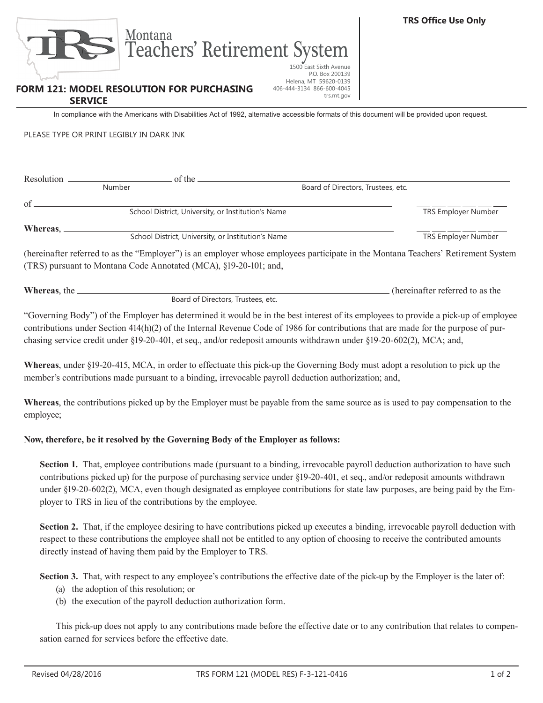

Teachers' Retirement System

**FORM 121: MODEL RESOLUTION FOR PURCHASING SERVICE**

1500 East Sixth Avenue P.O. Box 200139 Helena, MT 59620-0139 406-444-3134 866-600-4045 trs.mt.gov

In compliance with the Americans with Disabilities Act of 1992, alternative accessible formats of this document will be provided upon request.

PLEASE TYPE OR PRINT LEGIBLY IN DARK INK

| Resolution | of the                                                           |                                                                                                                                   |                                    |  |  |
|------------|------------------------------------------------------------------|-----------------------------------------------------------------------------------------------------------------------------------|------------------------------------|--|--|
|            | <b>Number</b>                                                    |                                                                                                                                   | Board of Directors, Trustees, etc. |  |  |
| of         |                                                                  | School District, University, or Institution's Name                                                                                | <b>TRS Employer Number</b>         |  |  |
| Whereas,   |                                                                  | School District, University, or Institution's Name                                                                                | TRS Employer Number                |  |  |
|            | (TRS) pursuant to Montana Code Annotated (MCA), §19-20-101; and, | (hereinafter referred to as the "Employer") is an employer whose employees participate in the Montana Teachers' Retirement System |                                    |  |  |

| Whereas, the |                                    | (hereinafter referred to as the |
|--------------|------------------------------------|---------------------------------|
|              | Board of Directors, Trustees, etc. |                                 |

"Governing Body") of the Employer has determined it would be in the best interest of its employees to provide a pick-up of employee contributions under Section 414(h)(2) of the Internal Revenue Code of 1986 for contributions that are made for the purpose of purchasing service credit under §19-20-401, et seq., and/or redeposit amounts withdrawn under §19-20-602(2), MCA; and,

**Whereas**, under §19-20-415, MCA, in order to effectuate this pick-up the Governing Body must adopt a resolution to pick up the member's contributions made pursuant to a binding, irrevocable payroll deduction authorization; and,

**Whereas**, the contributions picked up by the Employer must be payable from the same source as is used to pay compensation to the employee;

## **Now, therefore, be it resolved by the Governing Body of the Employer as follows:**

**Section 1.** That, employee contributions made (pursuant to a binding, irrevocable payroll deduction authorization to have such contributions picked up) for the purpose of purchasing service under §19-20-401, et seq., and/or redeposit amounts withdrawn under §19-20-602(2), MCA, even though designated as employee contributions for state law purposes, are being paid by the Employer to TRS in lieu of the contributions by the employee.

**Section 2.** That, if the employee desiring to have contributions picked up executes a binding, irrevocable payroll deduction with respect to these contributions the employee shall not be entitled to any option of choosing to receive the contributed amounts directly instead of having them paid by the Employer to TRS.

**Section 3.** That, with respect to any employee's contributions the effective date of the pick-up by the Employer is the later of:

- (a) the adoption of this resolution; or
- (b) the execution of the payroll deduction authorization form.

This pick-up does not apply to any contributions made before the effective date or to any contribution that relates to compensation earned for services before the effective date.